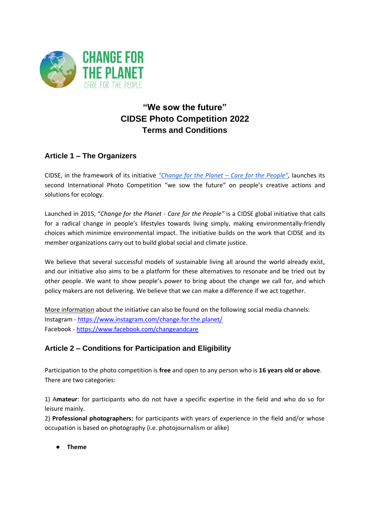

# **"We sow the future" CIDSE Photo Competition 2022 Terms and Conditions**

### **Article 1 – The Organizers**

CIDSE, in the framework of its initiative *"Change for the Planet – Care for the People",* launches its second International Photo Competition "we sow the future" on people's creative actions and solutions for ecology.

Launched in 2015, "*Change for the Planet - Care for the People"* is a CIDSE global initiative that calls for a radical change in people's lifestyles towards living simply, making environmentally-friendly choices which minimize environmental impact. The initiative builds on the work that CIDSE and its member organizations carry out to build global social and climate justice.

We believe that several successful models of sustainable living all around the world already exist, and our initiative also aims to be a platform for these alternatives to resonate and be tried out by other people. We want to show people's power to bring about the change we call for, and which policy makers are not delivering. We believe that we can make a difference if we act together.

More information about the initiative can also be found on the following social media channels: Instagram - <https://www.instagram.com/change.for.the.planet/> Facebook - <https://www.facebook.com/changeandcare>

# **Article 2 – Conditions for Participation and Eligibility**

Participation to the photo competition is **free** and open to any person who is **16 years old or above**. There are two categories:

1) A**mateur**: for participants who do not have a specific expertise in the field and who do so for leisure mainly.

2) **Professional photographers:** for participants with years of experience in the field and/or whose occupation is based on photography (i.e. photojournalism or alike)

● **Theme**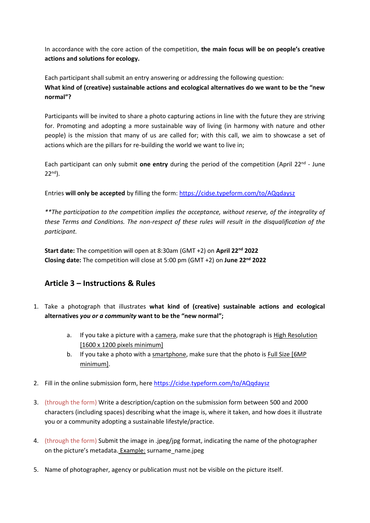In accordance with the core action of the competition, **the main focus will be on people's creative actions and solutions for ecology.**

Each participant shall submit an entry answering or addressing the following question: **What kind of (creative) sustainable actions and ecological alternatives do we want to be the "new normal"?**

Participants will be invited to share a photo capturing actions in line with the future they are striving for. Promoting and adopting a more sustainable way of living (in harmony with nature and other people) is the mission that many of us are called for; with this call, we aim to showcase a set of actions which are the pillars for re-building the world we want to live in;

Each participant can only submit **one entry** during the period of the competition (April 22nd - June 22nd).

Entries **will only be accepted** by filling the form:<https://cidse.typeform.com/to/AQqdaysz>

*\*\*The participation to the competition implies the acceptance, without reserve, of the integrality of these Terms and Conditions. The non-respect of these rules will result in the disqualification of the participant.*

**Start date:** The competition will open at 8:30am (GMT +2) on **April 22nd 2022 Closing date:** The competition will close at 5:00 pm (GMT +2) on **June 22nd 2022**

# **Article 3 – Instructions & Rules**

- 1. Take a photograph that illustrates **what kind of (creative) sustainable actions and ecological alternatives** *you or a community* **want to be the "new normal";** 
	- a. If you take a picture with a camera, make sure that the photograph is High Resolution [1600 x 1200 pixels minimum]
	- b. If you take a photo with a smartphone, make sure that the photo is Full Size [6MP minimum].
- 2. Fill in the online submission form, here<https://cidse.typeform.com/to/AQqdaysz>
- 3. (through the form) Write a description/caption on the submission form between 500 and 2000 characters (including spaces) describing what the image is, where it taken, and how does it illustrate you or a community adopting a sustainable lifestyle/practice.
- 4. (through the form) Submit the image in .jpeg/jpg format, indicating the name of the photographer on the picture's metadata. Example: surname\_name.jpeg
- 5. Name of photographer, agency or publication must not be visible on the picture itself.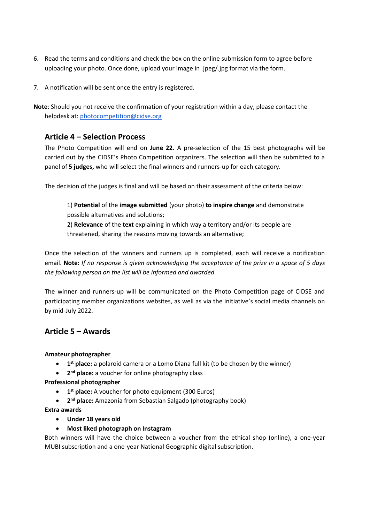- 6. Read the terms and conditions and check the box on the online submission form to agree before uploading your photo. Once done, upload your image in .jpeg/.jpg format via the form.
- 7. A notification will be sent once the entry is registered.
- **Note**: Should you not receive the confirmation of your registration within a day, please contact the helpdesk at: photocompetition@cidse.org

### **Article 4 – Selection Process**

The Photo Competition will end on **June 22**. A pre-selection of the 15 best photographs will be carried out by the CIDSE's Photo Competition organizers. The selection will then be submitted to a panel of **5 judges,** who will select the final winners and runners-up for each category.

The decision of the judges is final and will be based on their assessment of the criteria below:

1) **Potential** of the **image submitted** (your photo) **to inspire change** and demonstrate possible alternatives and solutions;

2) **Relevance** of the **text** explaining in which way a territory and/or its people are threatened, sharing the reasons moving towards an alternative;

Once the selection of the winners and runners up is completed, each will receive a notification email. **Note:** *If no response is given acknowledging the acceptance of the prize in a space of 5 days the following person on the list will be informed and awarded.* 

The winner and runners-up will be communicated on the Photo Competition page of CIDSE and participating member organizations websites, as well as via the initiative's social media channels on by mid-July 2022.

### **Article 5 – Awards**

#### **Amateur photographer**

- **1 st place:** a polaroid camera or a Lomo Diana full kit (to be chosen by the winner)
- **2 nd place:** a voucher for online photography class

#### **Professional photographer**

- **1 st place:** A voucher for photo equipment (300 Euros)
- **2 nd place:** Amazonia from Sebastian Salgado (photography book)

#### **Extra awards**

- **Under 18 years old**
- **Most liked photograph on Instagram**

Both winners will have the choice between a voucher from the ethical shop (online), a one-year MUBI subscription and a one-year National Geographic digital subscription.